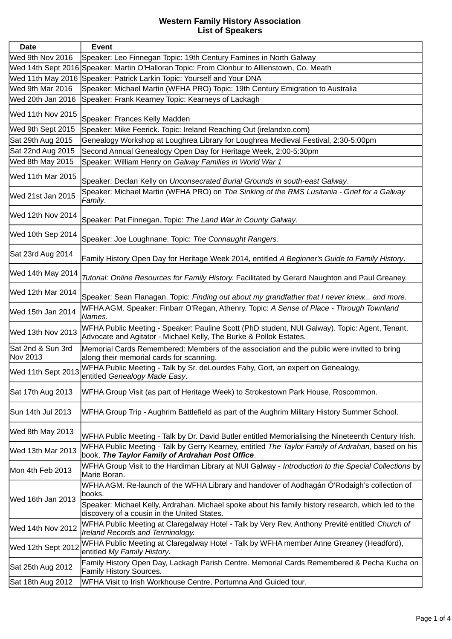| <b>Date</b>                   | Event                                                                                                                                                                                                                                                      |
|-------------------------------|------------------------------------------------------------------------------------------------------------------------------------------------------------------------------------------------------------------------------------------------------------|
| Wed 9th Nov 2016              | Speaker: Leo Finnegan Topic: 19th Century Famines in North Galway                                                                                                                                                                                          |
|                               | Wed 14th Sept 2016 Speaker: Martin O'Halloran Topic: From Clonbur to Alllenstown, Co. Meath                                                                                                                                                                |
|                               | Wed 11th May 2016 Speaker: Patrick Larkin Topic: Yourself and Your DNA                                                                                                                                                                                     |
| Wed 9th Mar 2016              | Speaker: Michael Martin (WFHA PRO) Topic: 19th Century Emigration to Australia                                                                                                                                                                             |
| Wed 20th Jan 2016             | Speaker: Frank Kearney Topic: Kearneys of Lackagh                                                                                                                                                                                                          |
| Wed 11th Nov 2015             | Speaker: Frances Kelly Madden                                                                                                                                                                                                                              |
| Wed 9th Sept 2015             | Speaker: Mike Feerick. Topic: Ireland Reaching Out (irelandxo.com)                                                                                                                                                                                         |
| Sat 29th Aug 2015             | Genealogy Workshop at Loughrea Library for Loughrea Medieval Festival, 2:30-5:00pm                                                                                                                                                                         |
| Sat 22nd Aug 2015             | Second Annual Genealogy Open Day for Heritage Week, 2:00-5:30pm                                                                                                                                                                                            |
| Wed 8th May 2015              | Speaker: William Henry on Galway Families in World War 1                                                                                                                                                                                                   |
| Wed 11th Mar 2015             | Speaker: Declan Kelly on Unconsecrated Burial Grounds in south-east Galway.                                                                                                                                                                                |
| Wed 21st Jan 2015             | Speaker: Michael Martin (WFHA PRO) on The Sinking of the RMS Lusitania - Grief for a Galway<br>Family.                                                                                                                                                     |
| Wed 12th Nov 2014             | Speaker: Pat Finnegan. Topic: The Land War in County Galway.                                                                                                                                                                                               |
| Wed 10th Sep 2014             | Speaker: Joe Loughnane. Topic: The Connaught Rangers.                                                                                                                                                                                                      |
| Sat 23rd Aug 2014             | Family History Open Day for Heritage Week 2014, entitled A Beginner's Guide to Family History.                                                                                                                                                             |
| Wed 14th May 2014             | Tutorial: Online Resources for Family History. Facilitated by Gerard Naughton and Paul Greaney.                                                                                                                                                            |
| Wed 12th Mar 2014             | Speaker: Sean Flanagan. Topic: Finding out about my grandfather that I never knew and more.                                                                                                                                                                |
| Wed 15th Jan 2014             | WFHA AGM. Speaker: Finbarr O'Regan, Athenry. Topic: A Sense of Place - Through Townland<br>Names.                                                                                                                                                          |
| Wed 13th Nov 2013             | WFHA Public Meeting - Speaker: Pauline Scott (PhD student, NUI Galway). Topic: Agent, Tenant,<br>Advocate and Agitator - Michael Kelly, The Burke & Pollok Estates.                                                                                        |
| Sat 2nd & Sun 3rd<br>Nov 2013 | Memorial Cards Remembered: Members of the association and the public were invited to bring<br>along their memorial cards for scanning.                                                                                                                     |
| Wed 11th Sept 2013            | WFHA Public Meeting - Talk by Sr. deLourdes Fahy, Gort, an expert on Genealogy,<br>entitled Genealogy Made Easy.                                                                                                                                           |
| Sat 17th Aug 2013             | WFHA Group Visit (as part of Heritage Week) to Strokestown Park House, Roscommon.                                                                                                                                                                          |
| Sun 14th Jul 2013             | WFHA Group Trip - Aughrim Battlefield as part of the Aughrim Military History Summer School.                                                                                                                                                               |
| Wed 8th May 2013              | WFHA Public Meeting - Talk by Dr. David Butler entitled Memorialising the Nineteenth Century Irish.                                                                                                                                                        |
| Wed 13th Mar 2013             | WFHA Public Meeting - Talk by Gerry Kearney, entitled The Taylor Family of Ardrahan, based on his<br>book, The Taylor Family of Ardrahan Post Office.                                                                                                      |
| Mon 4th Feb 2013              | WFHA Group Visit to the Hardiman Library at NUI Galway - Introduction to the Special Collections by<br>Marie Boran.                                                                                                                                        |
| Wed 16th Jan 2013             | WFHA AGM. Re-launch of the WFHA Library and handover of Aodhagán Ó'Rodaigh's collection of<br>books.<br>Speaker: Michael Kelly, Ardrahan. Michael spoke about his family history research, which led to the<br>discovery of a cousin in the United States. |
| Wed 14th Nov 2012             | WFHA Public Meeting at Claregalway Hotel - Talk by Very Rev. Anthony Previté entitled Church of<br>Ireland Records and Terminology.                                                                                                                        |
| Wed 12th Sept 2012            | WFHA Public Meeting at Claregalway Hotel - Talk by WFHA member Anne Greaney (Headford),<br>entitled My Family History.                                                                                                                                     |
| Sat 25th Aug 2012             | Family History Open Day, Lackagh Parish Centre. Memorial Cards Remembered & Pecha Kucha on<br>Family History Sources.                                                                                                                                      |
| Sat 18th Aug 2012             | WFHA Visit to Irish Workhouse Centre, Portumna And Guided tour.                                                                                                                                                                                            |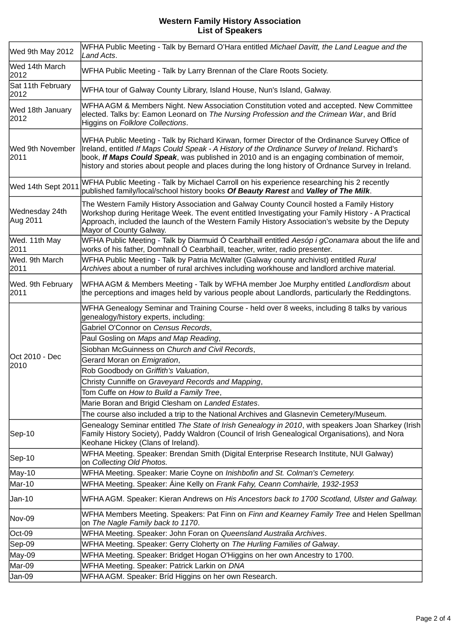| Wed 9th May 2012           | WFHA Public Meeting - Talk by Bernard O'Hara entitled Michael Davitt, the Land League and the<br>Land Acts.                                                                                                                                                                                                                                                                                                                                                                                                                                                                                        |
|----------------------------|----------------------------------------------------------------------------------------------------------------------------------------------------------------------------------------------------------------------------------------------------------------------------------------------------------------------------------------------------------------------------------------------------------------------------------------------------------------------------------------------------------------------------------------------------------------------------------------------------|
| Wed 14th March<br>2012     | WFHA Public Meeting - Talk by Larry Brennan of the Clare Roots Society.                                                                                                                                                                                                                                                                                                                                                                                                                                                                                                                            |
| Sat 11th February<br>2012  | WFHA tour of Galway County Library, Island House, Nun's Island, Galway.                                                                                                                                                                                                                                                                                                                                                                                                                                                                                                                            |
| Wed 18th January<br>2012   | WFHA AGM & Members Night. New Association Constitution voted and accepted. New Committee<br>elected. Talks by: Eamon Leonard on The Nursing Profession and the Crimean War, and Bríd<br>Higgins on Folklore Collections.                                                                                                                                                                                                                                                                                                                                                                           |
| Wed 9th November<br>2011   | WFHA Public Meeting - Talk by Richard Kirwan, former Director of the Ordinance Survey Office of<br>Ireland, entitled If Maps Could Speak - A History of the Ordinance Survey of Ireland. Richard's<br>book, If Maps Could Speak, was published in 2010 and is an engaging combination of memoir,<br>history and stories about people and places during the long history of Ordnance Survey in Ireland.                                                                                                                                                                                             |
| Wed 14th Sept 2011         | WFHA Public Meeting - Talk by Michael Carroll on his experience researching his 2 recently<br>published family/local/school history books Of Beauty Rarest and Valley of The Milk.                                                                                                                                                                                                                                                                                                                                                                                                                 |
| Wednesday 24th<br>Aug 2011 | The Western Family History Association and Galway County Council hosted a Family History<br>Workshop during Heritage Week. The event entitled Investigating your Family History - A Practical<br>Approach, included the launch of the Western Family History Association's website by the Deputy<br>Mayor of County Galway.                                                                                                                                                                                                                                                                        |
| Wed. 11th May<br>2011      | WFHA Public Meeting - Talk by Diarmuid Ó Cearbhaill entitled Aesóp i gConamara about the life and<br>works of his father, Domhnall Ó Cearbhaill, teacher, writer, radio presenter.                                                                                                                                                                                                                                                                                                                                                                                                                 |
| Wed. 9th March<br>2011     | WFHA Public Meeting - Talk by Patria McWalter (Galway county archivist) entitled Rural<br>Archives about a number of rural archives including workhouse and landlord archive material.                                                                                                                                                                                                                                                                                                                                                                                                             |
| Wed. 9th February<br>2011  | WFHA AGM & Members Meeting - Talk by WFHA member Joe Murphy entitled Landlordism about<br>the perceptions and images held by various people about Landlords, particularly the Reddingtons.                                                                                                                                                                                                                                                                                                                                                                                                         |
| Oct 2010 - Dec<br>2010     | WFHA Genealogy Seminar and Training Course - held over 8 weeks, including 8 talks by various<br>genealogy/history experts, including:<br>Gabriel O'Connor on Census Records,<br>Paul Gosling on Maps and Map Reading,<br>Siobhan McGuinness on Church and Civil Records,<br>Gerard Moran on Emigration,<br>Rob Goodbody on Griffith's Valuation,<br>Christy Cunniffe on Graveyard Records and Mapping,<br>Tom Cuffe on How to Build a Family Tree,<br>Marie Boran and Brigid Clesham on Landed Estates.<br>The course also included a trip to the National Archives and Glasnevin Cemetery/Museum. |
| Sep-10                     | Genealogy Seminar entitled The State of Irish Genealogy in 2010, with speakers Joan Sharkey (Irish<br>Family History Society), Paddy Waldron (Council of Irish Genealogical Organisations), and Nora<br>Keohane Hickey (Clans of Ireland).                                                                                                                                                                                                                                                                                                                                                         |
| Sep-10                     | WFHA Meeting. Speaker: Brendan Smith (Digital Enterprise Research Institute, NUI Galway)<br>on Collecting Old Photos.                                                                                                                                                                                                                                                                                                                                                                                                                                                                              |
| May-10                     | WFHA Meeting. Speaker: Marie Coyne on Inishbofin and St. Colman's Cemetery.                                                                                                                                                                                                                                                                                                                                                                                                                                                                                                                        |
| Mar-10                     | WFHA Meeting. Speaker: Áine Kelly on Frank Fahy, Ceann Comhairle, 1932-1953                                                                                                                                                                                                                                                                                                                                                                                                                                                                                                                        |
| Jan-10                     | WFHA AGM. Speaker: Kieran Andrews on His Ancestors back to 1700 Scotland, Ulster and Galway.                                                                                                                                                                                                                                                                                                                                                                                                                                                                                                       |
| Nov-09                     | WFHA Members Meeting. Speakers: Pat Finn on Finn and Kearney Family Tree and Helen Spellman<br>on The Nagle Family back to 1170.                                                                                                                                                                                                                                                                                                                                                                                                                                                                   |
| Oct-09                     | WFHA Meeting. Speaker: John Foran on Queensland Australia Archives.                                                                                                                                                                                                                                                                                                                                                                                                                                                                                                                                |
| Sep-09                     | WFHA Meeting. Speaker: Gerry Cloherty on The Hurling Families of Galway.                                                                                                                                                                                                                                                                                                                                                                                                                                                                                                                           |
| May-09                     | WFHA Meeting. Speaker: Bridget Hogan O'Higgins on her own Ancestry to 1700.                                                                                                                                                                                                                                                                                                                                                                                                                                                                                                                        |
| Mar-09                     | WFHA Meeting. Speaker: Patrick Larkin on DNA                                                                                                                                                                                                                                                                                                                                                                                                                                                                                                                                                       |
| Jan-09                     | WFHA AGM. Speaker: Bríd Higgins on her own Research.                                                                                                                                                                                                                                                                                                                                                                                                                                                                                                                                               |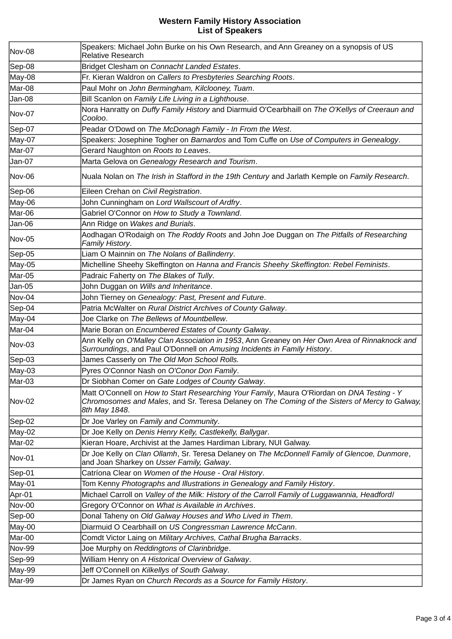| Nov-08        | Speakers: Michael John Burke on his Own Research, and Ann Greaney on a synopsis of US<br>Relative Research                                                                                                    |
|---------------|---------------------------------------------------------------------------------------------------------------------------------------------------------------------------------------------------------------|
| Sep-08        | Bridget Clesham on Connacht Landed Estates.                                                                                                                                                                   |
| May-08        | Fr. Kieran Waldron on Callers to Presbyteries Searching Roots.                                                                                                                                                |
| Mar-08        | Paul Mohr on John Bermingham, Kilclooney, Tuam.                                                                                                                                                               |
| Jan-08        | Bill Scanlon on Family Life Living in a Lighthouse.                                                                                                                                                           |
| Nov-07        | Nora Hanratty on Duffy Family History and Diarmuid O'Cearbhaill on The O'Kellys of Creeraun and<br>Cooloo.                                                                                                    |
| Sep-07        | Peadar O'Dowd on The McDonagh Family - In From the West.                                                                                                                                                      |
| May-07        | Speakers: Josephine Togher on Barnardos and Tom Cuffe on Use of Computers in Genealogy.                                                                                                                       |
| Mar-07        | Gerard Naughton on Roots to Leaves.                                                                                                                                                                           |
| Jan-07        | Marta Gelova on Genealogy Research and Tourism.                                                                                                                                                               |
| Nov-06        | Nuala Nolan on The Irish in Stafford in the 19th Century and Jarlath Kemple on Family Research.                                                                                                               |
| Sep-06        | Eileen Crehan on Civil Registration.                                                                                                                                                                          |
| May-06        | John Cunningham on Lord Wallscourt of Ardfry.                                                                                                                                                                 |
| Mar-06        | Gabriel O'Connor on How to Study a Townland.                                                                                                                                                                  |
| Jan-06        | Ann Ridge on Wakes and Burials.                                                                                                                                                                               |
| <b>Nov-05</b> | Aodhagan O'Rodaigh on The Roddy Roots and John Joe Duggan on The Pitfalls of Researching<br>Family History.                                                                                                   |
| Sep-05        | Liam O Mainnin on The Nolans of Ballinderry.                                                                                                                                                                  |
| May-05        | Michelline Sheehy Skeffington on Hanna and Francis Sheehy Skeffington: Rebel Feminists.                                                                                                                       |
| Mar-05        | Padraic Faherty on The Blakes of Tully.                                                                                                                                                                       |
| Jan-05        | John Duggan on Wills and Inheritance.                                                                                                                                                                         |
| Nov-04        | John Tierney on Genealogy: Past, Present and Future.                                                                                                                                                          |
| Sep-04        | Patria McWalter on Rural District Archives of County Galway.                                                                                                                                                  |
| May-04        | Joe Clarke on The Bellews of Mountbellew.                                                                                                                                                                     |
| Mar-04        | Marie Boran on Encumbered Estates of County Galway.                                                                                                                                                           |
| Nov-03        | Ann Kelly on O'Malley Clan Association in 1953, Ann Greaney on Her Own Area of Rinnaknock and<br>Surroundings, and Paul O'Donnell on Amusing Incidents in Family History.                                     |
| Sep-03        | James Casserly on The Old Mon School Rolls.                                                                                                                                                                   |
| May-03        | Pyres O'Connor Nash on O'Conor Don Family.                                                                                                                                                                    |
| Mar-03        | Dr Siobhan Comer on Gate Lodges of County Galway.                                                                                                                                                             |
| Nov-02        | Matt O'Connell on How to Start Researching Your Family, Maura O'Riordan on DNA Testing - Y<br>Chromosomes and Males, and Sr. Teresa Delaney on The Coming of the Sisters of Mercy to Galway,<br>8th May 1848. |
| Sep-02        | Dr Joe Varley on Family and Community.                                                                                                                                                                        |
| May-02        | Dr Joe Kelly on Denis Henry Kelly, Castlekelly, Ballygar.                                                                                                                                                     |
| Mar-02        | Kieran Hoare, Archivist at the James Hardiman Library, NUI Galway.                                                                                                                                            |
| Nov-01        | Dr Joe Kelly on Clan Ollamh, Sr. Teresa Delaney on The McDonnell Family of Glencoe, Dunmore,<br>and Joan Sharkey on Usser Family, Galway.                                                                     |
| Sep-01        | Catríona Clear on Women of the House - Oral History.                                                                                                                                                          |
| May-01        | Tom Kenny Photographs and Illustrations in Genealogy and Family History.                                                                                                                                      |
| Apr-01        | Michael Carroll on Valley of the Milk: History of the Carroll Family of Luggawannia, Headfordl                                                                                                                |
| <b>Nov-00</b> | Gregory O'Connor on What is Available in Archives.                                                                                                                                                            |
| Sep-00        | Donal Taheny on Old Galway Houses and Who Lived in Them.                                                                                                                                                      |
| May-00        | Diarmuid O Cearbhaill on US Congressman Lawrence McCann.                                                                                                                                                      |
| Mar-00        | Comdt Victor Laing on Military Archives, Cathal Brugha Barracks.                                                                                                                                              |
| <b>Nov-99</b> | Joe Murphy on Reddingtons of Clarinbridge.                                                                                                                                                                    |
| Sep-99        | William Henry on A Historical Overview of Galway.                                                                                                                                                             |
| May-99        | Jeff O'Connell on Kilkellys of South Galway.                                                                                                                                                                  |
| Mar-99        | Dr James Ryan on Church Records as a Source for Family History.                                                                                                                                               |